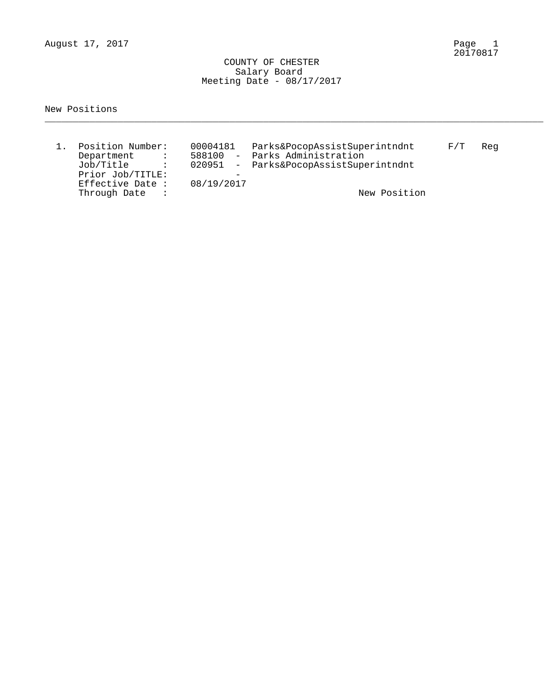August 17, 2017

Page 1<br>20170817

 COUNTY OF CHESTER Salary Board Meeting Date - 08/17/2017

New Positions

| Position Number:<br>Department<br><b>Contract Contract</b><br>Job/Title<br>$\sim$ $\sim$ $\sim$<br>Prior Job/TITLE:<br>Effective Date : | 00004181<br>588100<br>08/19/2017 | Parks&PocopAssistSuperintndnt<br>- Parks Administration<br>020951 - Parks&PocopAssistSuperintndnt | F/T | Rea |
|-----------------------------------------------------------------------------------------------------------------------------------------|----------------------------------|---------------------------------------------------------------------------------------------------|-----|-----|
| Through Date                                                                                                                            |                                  | New Position                                                                                      |     |     |

\_\_\_\_\_\_\_\_\_\_\_\_\_\_\_\_\_\_\_\_\_\_\_\_\_\_\_\_\_\_\_\_\_\_\_\_\_\_\_\_\_\_\_\_\_\_\_\_\_\_\_\_\_\_\_\_\_\_\_\_\_\_\_\_\_\_\_\_\_\_\_\_\_\_\_\_\_\_\_\_\_\_\_\_\_\_\_\_\_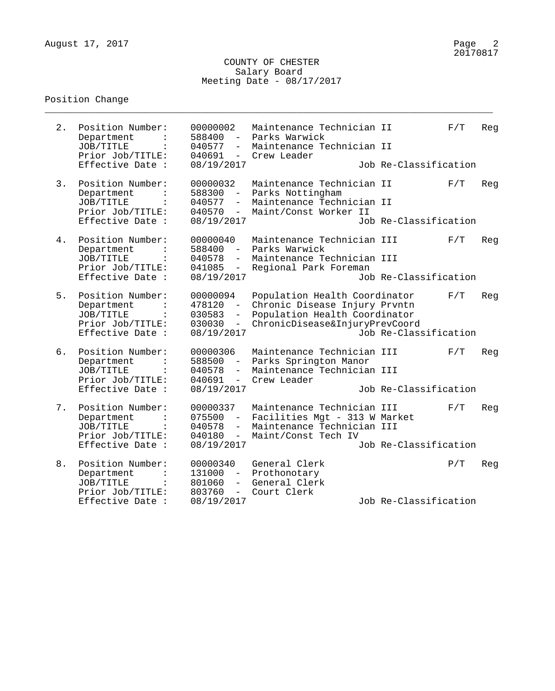\_\_\_\_\_\_\_\_\_\_\_\_\_\_\_\_\_\_\_\_\_\_\_\_\_\_\_\_\_\_\_\_\_\_\_\_\_\_\_\_\_\_\_\_\_\_\_\_\_\_\_\_\_\_\_\_\_\_\_\_\_\_\_\_\_\_\_\_\_\_\_\_\_\_\_\_\_\_\_\_

| 2. | Position Number:<br>Department<br>JOB/TITLE<br>Prior Job/TITLE:<br>Effective Date :                   | 00000002<br>588400<br>$\equiv$<br>040577<br>$ \,$<br>$040691 -$<br>08/19/2017         | Maintenance Technician II<br>Parks Warwick<br>Maintenance Technician II<br>Crew Leader                                            | Job Re-Classification | F/T | Reg |
|----|-------------------------------------------------------------------------------------------------------|---------------------------------------------------------------------------------------|-----------------------------------------------------------------------------------------------------------------------------------|-----------------------|-----|-----|
| 3. | Position Number:<br>Department<br>JOB/TITLE<br>Prior Job/TITLE:<br>Effective Date :                   | 00000032<br>588300<br>$\frac{1}{2}$<br>040577<br>$ \,$<br>040570<br>$-$<br>08/19/2017 | Maintenance Technician II<br>Parks Nottingham<br>Maintenance Technician II<br>Maint/Const Worker II                               | Job Re-Classification | F/T | Reg |
| 4. | Position Number:<br>Department<br>JOB/TITLE<br>$\ddot{\cdot}$<br>Prior Job/TITLE:<br>Effective Date : | 00000040<br>588400<br>$\sim$ .<br>040578<br>041085<br>$\frac{1}{2}$<br>08/19/2017     | Maintenance Technician III<br>Parks Warwick<br>Maintenance Technician III<br>Regional Park Foreman                                | Job Re-Classification | F/T | Reg |
| 5. | Position Number:<br>Department<br>JOB/TITLE<br>Prior Job/TITLE:<br>Effective Date :                   | 00000094<br>478120<br>030583<br>$ \,$<br>030030<br>$ \,$<br>08/19/2017                | Population Health Coordinator<br>Chronic Disease Injury Prvntn<br>Population Health Coordinator<br>ChronicDisease&InjuryPrevCoord | Job Re-Classification | F/T | Reg |
| 6. | Position Number:<br>Department<br>JOB/TITLE<br>Prior Job/TITLE:<br>Effective Date :                   | 00000306<br>588500<br>$ \,$<br>040578<br>$-$<br>040691<br>$  \,$<br>08/19/2017        | Maintenance Technician III<br>Parks Springton Manor<br>Maintenance Technician III<br>Crew Leader                                  | Job Re-Classification | F/T | Reg |
| 7. | Position Number:<br>Department<br>JOB/TITLE<br>Prior Job/TITLE:<br>Effective Date :                   | 00000337<br>075500<br>040578<br>$-$<br>040180<br>$-$<br>08/19/2017                    | Maintenance Technician III<br>Facilities Mgt - 313 W Market<br>Maintenance Technician III<br>Maint/Const Tech IV                  | Job Re-Classification | F/T | Reg |
| 8. | Position Number:<br>Department<br>JOB/TITLE<br>$\mathbf{L}$<br>Prior Job/TITLE:<br>Effective Date :   | 00000340<br>131000<br>801060<br>803760<br>$ -$<br>08/19/2017                          | General Clerk<br>- Prothonotary<br>- General Clerk<br>Court Clerk                                                                 | Job Re-Classification | P/T | Reg |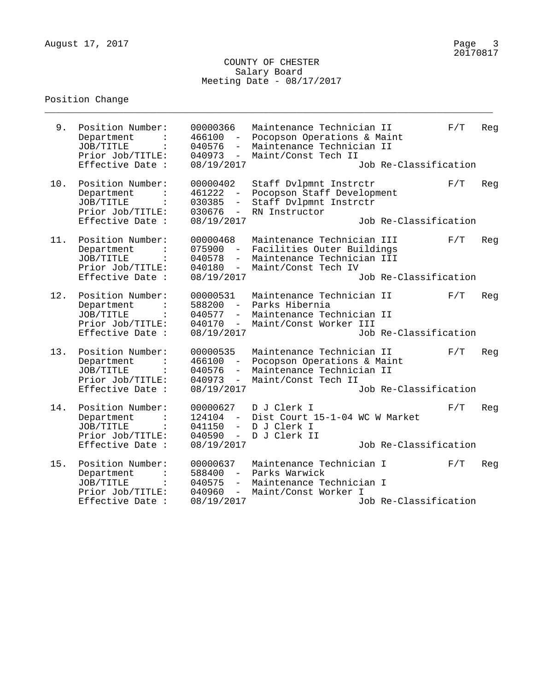\_\_\_\_\_\_\_\_\_\_\_\_\_\_\_\_\_\_\_\_\_\_\_\_\_\_\_\_\_\_\_\_\_\_\_\_\_\_\_\_\_\_\_\_\_\_\_\_\_\_\_\_\_\_\_\_\_\_\_\_\_\_\_\_\_\_\_\_\_\_\_\_\_\_\_\_\_\_\_\_

| 9.  | Position Number:<br>Department<br>JOB/TITLE<br>Prior Job/TITLE:<br>Effective Date :                   | 00000366<br>466100<br>040576<br>$\overline{\phantom{a}}$<br>040973<br>$\sim$<br>08/19/2017              | Maintenance Technician II<br>Pocopson Operations & Maint<br>Maintenance Technician II<br>Maint/Const Tech II  | Job Re-Classification | F/T | Reg |
|-----|-------------------------------------------------------------------------------------------------------|---------------------------------------------------------------------------------------------------------|---------------------------------------------------------------------------------------------------------------|-----------------------|-----|-----|
| 10. | Position Number:<br>Department<br>JOB/TITLE<br>Prior Job/TITLE:<br>Effective Date :                   | 00000402<br>461222<br>030385<br>$\overline{\phantom{a}}$<br>030676<br>$-$<br>08/19/2017                 | Staff Dvlpmnt Instrctr<br>Pocopson Staff Development<br>Staff Dvlpmnt Instrctr<br>RN Instructor               | Job Re-Classification | F/T | Reg |
| 11. | Position Number:<br>Department<br>JOB/TITLE<br>$\ddot{\cdot}$<br>Prior Job/TITLE:<br>Effective Date : | 00000468<br>075900<br>$ \,$<br>040578<br>040180<br>$\equiv$<br>08/19/2017                               | Maintenance Technician III<br>Facilities Outer Buildings<br>Maintenance Technician III<br>Maint/Const Tech IV | Job Re-Classification | F/T | Reg |
| 12. | Position Number:<br>Department<br>JOB/TITLE<br>Prior Job/TITLE:<br>Effective Date :                   | 00000531<br>588200<br>$\sim$ $-$<br>040577<br>$ \,$<br>040170<br>$\overline{\phantom{a}}$<br>08/19/2017 | Maintenance Technician II<br>Parks Hibernia<br>Maintenance Technician II<br>Maint/Const Worker III            | Job Re-Classification | F/T | Reg |
| 13. | Position Number:<br>Department<br>JOB/TITLE<br>Prior Job/TITLE:<br>Effective Date :                   | 00000535<br>466100<br>$\sim$ $^{-1}$<br>040576<br>$ \,$<br>040973<br>$-$<br>08/19/2017                  | Maintenance Technician II<br>Pocopson Operations & Maint<br>Maintenance Technician II<br>Maint/Const Tech II  | Job Re-Classification | F/T | Reg |
| 14. | Position Number:<br>Department<br>JOB/TITLE<br>Prior Job/TITLE:<br>Effective Date :                   | 00000627<br>124104<br>$ \,$<br>041150<br>$\overline{\phantom{0}}$<br>040590<br>$\sim$<br>08/19/2017     | D J Clerk I<br>Dist Court 15-1-04 WC W Market<br>D J Clerk I<br>D J Clerk II                                  | Job Re-Classification | F/T | Reg |
| 15. | Position Number:<br>Department<br>JOB/TITLE<br>$\ddot{\cdot}$<br>Prior Job/TITLE:<br>Effective Date : | 00000637<br>588400<br>$-$<br>040575<br>$\overline{\phantom{a}}$<br>040960<br>$-$<br>08/19/2017          | Maintenance Technician I<br>Parks Warwick<br>Maintenance Technician I<br>Maint/Const Worker I                 | Job Re-Classification | F/T | Reg |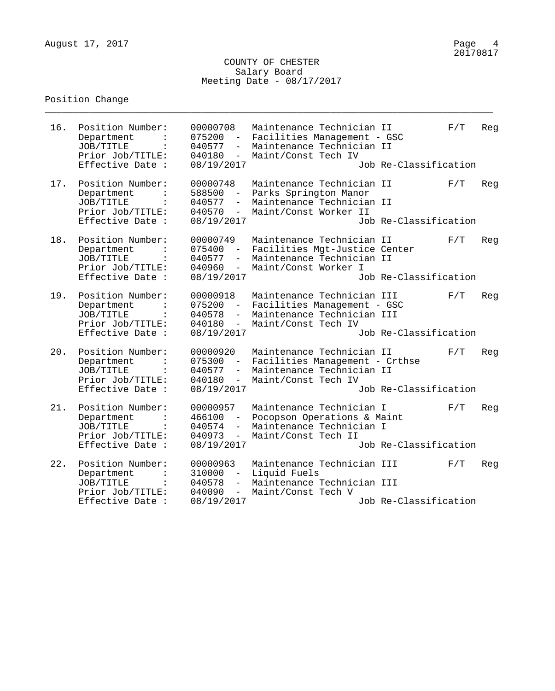\_\_\_\_\_\_\_\_\_\_\_\_\_\_\_\_\_\_\_\_\_\_\_\_\_\_\_\_\_\_\_\_\_\_\_\_\_\_\_\_\_\_\_\_\_\_\_\_\_\_\_\_\_\_\_\_\_\_\_\_\_\_\_\_\_\_\_\_\_\_\_\_\_\_\_\_\_\_\_\_

| 16. | Position Number:<br>Department<br>JOB/TITLE<br>Prior Job/TITLE:<br>Effective Date :                   | 00000708<br>075200<br>040577<br>$\overline{\phantom{a}}$<br>040180<br>$ \,$<br>08/19/2017                           | Maintenance Technician II<br>Facilities Management - GSC<br>Maintenance Technician II<br>Maint/Const Tech IV    | Job Re-Classification | F/T | Reg |
|-----|-------------------------------------------------------------------------------------------------------|---------------------------------------------------------------------------------------------------------------------|-----------------------------------------------------------------------------------------------------------------|-----------------------|-----|-----|
| 17. | Position Number:<br>Department<br>JOB/TITLE<br>Prior Job/TITLE:<br>Effective Date :                   | 00000748<br>588500<br>040577<br>040570<br>$-$<br>08/19/2017                                                         | Maintenance Technician II<br>Parks Springton Manor<br>Maintenance Technician II<br>Maint/Const Worker II        | Job Re-Classification | F/T | Reg |
| 18. | Position Number:<br>Department<br>JOB/TITLE<br>Prior Job/TITLE:<br>Effective Date :                   | 00000749<br>075400<br>$\overline{\phantom{a}}$<br>040577<br>$-$<br>040960<br>$-$<br>08/19/2017                      | Maintenance Technician II<br>Facilities Mgt-Justice Center<br>Maintenance Technician II<br>Maint/Const Worker I | Job Re-Classification | F/T | Reg |
| 19. | Position Number:<br>Department<br>JOB/TITLE<br>Prior Job/TITLE:<br>Effective Date :                   | 00000918<br>075200<br>040578<br>$ \,$<br>040180<br>$ \,$<br>08/19/2017                                              | Maintenance Technician III<br>Facilities Management - GSC<br>Maintenance Technician III<br>Maint/Const Tech IV  | Job Re-Classification | F/T | Reg |
| 20. | Position Number:<br>Department<br>JOB/TITLE<br>Prior Job/TITLE:<br>Effective Date :                   | 00000920<br>075300<br>$ \,$<br>040577<br>$\qquad \qquad -$<br>040180<br>$\overline{\phantom{a}}$<br>08/19/2017      | Maintenance Technician II<br>Facilities Management - Crthse<br>Maintenance Technician II<br>Maint/Const Tech IV | Job Re-Classification | F/T | Reg |
| 21. | Position Number:<br>Department<br>JOB/TITLE<br>Prior Job/TITLE:<br>Effective Date :                   | 00000957<br>466100<br>$\sim$ .<br>040574<br>$\overline{\phantom{0}}$<br>040973<br>$\sim$<br>08/19/2017              | Maintenance Technician I<br>Pocopson Operations & Maint<br>Maintenance Technician I<br>Maint/Const Tech II      | Job Re-Classification | F/T | Reg |
| 22. | Position Number:<br>Department<br>JOB/TITLE<br>$\ddot{\cdot}$<br>Prior Job/TITLE:<br>Effective Date : | 00000963<br>310000<br>$\overline{\phantom{0}}$<br>040578<br>$\overline{\phantom{a}}$<br>040090<br>$-$<br>08/19/2017 | Maintenance Technician III<br>Liquid Fuels<br>Maintenance Technician III<br>Maint/Const Tech V                  | Job Re-Classification | F/T | Reg |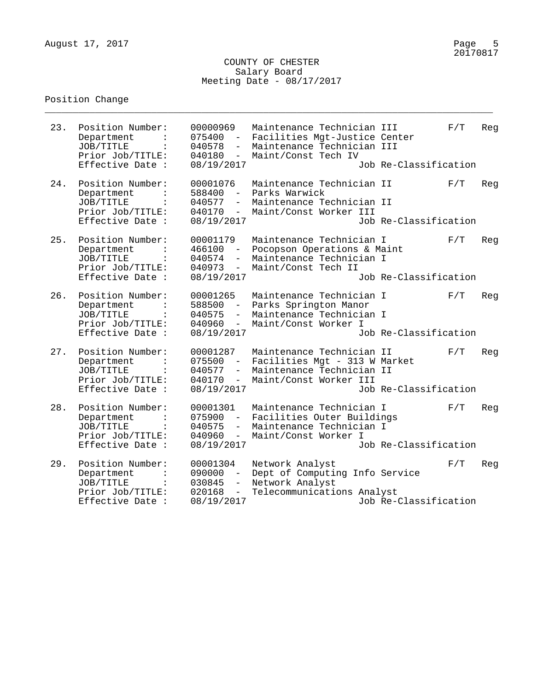\_\_\_\_\_\_\_\_\_\_\_\_\_\_\_\_\_\_\_\_\_\_\_\_\_\_\_\_\_\_\_\_\_\_\_\_\_\_\_\_\_\_\_\_\_\_\_\_\_\_\_\_\_\_\_\_\_\_\_\_\_\_\_\_\_\_\_\_\_\_\_\_\_\_\_\_\_\_\_\_

| 23. | Position Number:<br>Department<br>JOB/TITLE<br>Prior Job/TITLE:<br>Effective Date :                   | 00000969<br>075400<br>040578<br>040180<br>08/19/2017                                                           | Maintenance Technician III<br>Facilities Mgt-Justice Center<br>Maintenance Technician III<br>Maint/Const Tech IV  | Job Re-Classification | F/T | Reg |
|-----|-------------------------------------------------------------------------------------------------------|----------------------------------------------------------------------------------------------------------------|-------------------------------------------------------------------------------------------------------------------|-----------------------|-----|-----|
| 24. | Position Number:<br>Department<br>JOB/TITLE<br>Prior Job/TITLE:<br>Effective Date :                   | 00001076<br>588400<br>040577<br>040170<br>$-$<br>08/19/2017                                                    | Maintenance Technician II<br>Parks Warwick<br>Maintenance Technician II<br>Maint/Const Worker III                 | Job Re-Classification | F/T | Reg |
| 25. | Position Number:<br>Department<br>JOB/TITLE<br>$\ddot{\cdot}$<br>Prior Job/TITLE:<br>Effective Date : | 00001179<br>466100<br>040574<br>040973<br>$-$<br>08/19/2017                                                    | Maintenance Technician I<br>Pocopson Operations & Maint<br>Maintenance Technician I<br>Maint/Const Tech II        | Job Re-Classification | F/T | Reg |
| 26. | Position Number:<br>Department<br>JOB/TITLE<br>Prior Job/TITLE:<br>Effective Date :                   | 00001265<br>588500<br>040575<br>$ \,$<br>040960<br>$\overline{\phantom{a}}$<br>08/19/2017                      | Maintenance Technician I<br>Parks Springton Manor<br>Maintenance Technician I<br>Maint/Const Worker I             | Job Re-Classification | F/T | Reg |
| 27. | Position Number:<br>Department<br>JOB/TITLE<br>Prior Job/TITLE:<br>Effective Date :                   | 00001287<br>075500<br>$ \,$<br>040577<br>$\qquad \qquad -$<br>040170<br>$\overline{\phantom{a}}$<br>08/19/2017 | Maintenance Technician II<br>Facilities Mgt - 313 W Market<br>Maintenance Technician II<br>Maint/Const Worker III | Job Re-Classification | F/T | Reg |
| 28. | Position Number:<br>Department<br>JOB/TITLE<br>Prior Job/TITLE:<br>Effective Date :                   | 00001301<br>075900<br>040575<br>$\overline{\phantom{0}}$<br>040960<br>$ \,$<br>08/19/2017                      | Maintenance Technician I<br>Facilities Outer Buildings<br>Maintenance Technician I<br>Maint/Const Worker I        | Job Re-Classification | F/T | Reg |
| 29. | Position Number:<br>Department<br>JOB/TITLE<br>Prior Job/TITLE:<br>Effective Date :                   | 00001304<br>090000<br>030845<br>$\overline{\phantom{a}}$<br>020168<br>$-$<br>08/19/2017                        | Network Analyst<br>Dept of Computing Info Service<br>Network Analyst<br>Telecommunications Analyst                | Job Re-Classification | F/T | Reg |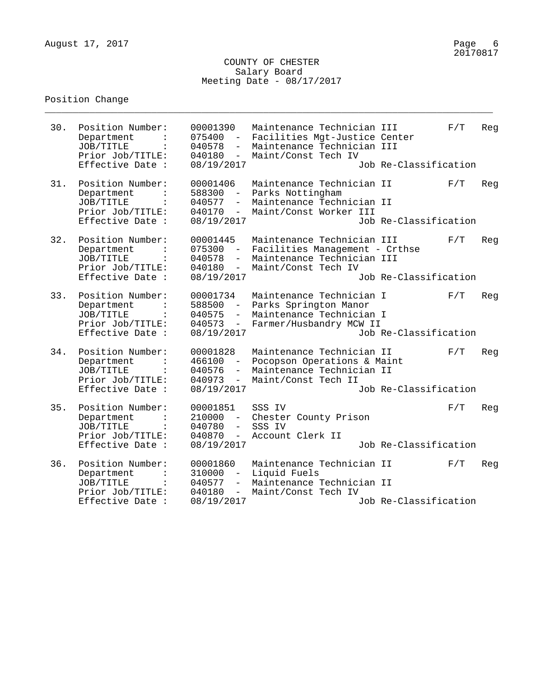\_\_\_\_\_\_\_\_\_\_\_\_\_\_\_\_\_\_\_\_\_\_\_\_\_\_\_\_\_\_\_\_\_\_\_\_\_\_\_\_\_\_\_\_\_\_\_\_\_\_\_\_\_\_\_\_\_\_\_\_\_\_\_\_\_\_\_\_\_\_\_\_\_\_\_\_\_\_\_\_

| 30. | Position Number:<br>Department<br>JOB/TITLE<br>Prior Job/TITLE:<br>Effective Date :                   | 00001390<br>075400<br>040578<br>$\overline{\phantom{a}}$<br>040180<br>$ \,$<br>08/19/2017           | Maintenance Technician III<br>Facilities Mgt-Justice Center<br>Maintenance Technician III<br>Maint/Const Tech IV  | Job Re-Classification | F/T | Reg |
|-----|-------------------------------------------------------------------------------------------------------|-----------------------------------------------------------------------------------------------------|-------------------------------------------------------------------------------------------------------------------|-----------------------|-----|-----|
| 31. | Position Number:<br>Department<br>JOB/TITLE<br>Prior Job/TITLE:<br>Effective Date :                   | 00001406<br>588300<br>040577<br>040170<br>$-$<br>08/19/2017                                         | Maintenance Technician II<br>Parks Nottingham<br>Maintenance Technician II<br>Maint/Const Worker III              | Job Re-Classification | F/T | Reg |
| 32. | Position Number:<br>Department<br>JOB/TITLE<br>$\ddot{\cdot}$<br>Prior Job/TITLE:<br>Effective Date : | 00001445<br>075300<br>$\overline{\phantom{m}}$<br>040578<br>040180<br>$-$<br>08/19/2017             | Maintenance Technician III<br>Facilities Management - Crthse<br>Maintenance Technician III<br>Maint/Const Tech IV | Job Re-Classification | F/T | Reg |
| 33. | Position Number:<br>Department<br>JOB/TITLE<br>Prior Job/TITLE:<br>Effective Date :                   | 00001734<br>588500<br>040575<br>$ \,$<br>040573<br>$ \,$<br>08/19/2017                              | Maintenance Technician I<br>Parks Springton Manor<br>Maintenance Technician I<br>Farmer/Husbandry MCW II          | Job Re-Classification | F/T | Reg |
| 34. | Position Number:<br>Department<br>JOB/TITLE<br>Prior Job/TITLE:<br>Effective Date :                   | 00001828<br>466100<br>$\equiv$ .<br>040576<br>$-$<br>040973<br>$-$<br>08/19/2017                    | Maintenance Technician II<br>Pocopson Operations & Maint<br>Maintenance Technician II<br>Maint/Const Tech II      | Job Re-Classification | F/T | Reg |
| 35. | Position Number:<br>Department<br>JOB/TITLE<br>Prior Job/TITLE:<br>Effective Date :                   | 00001851<br>210000<br>$\sim$<br>040780<br>$\overline{\phantom{0}}$<br>040870<br>$ \,$<br>08/19/2017 | SSS IV<br>Chester County Prison<br>SSS IV<br>Account Clerk II                                                     | Job Re-Classification | F/T | Reg |
| 36. | Position Number:<br>Department<br>JOB/TITLE<br>$\ddot{\cdot}$<br>Prior Job/TITLE:<br>Effective Date : | 00001860<br>310000<br>040577<br>$\overline{\phantom{a}}$<br>040180<br>$-$<br>08/19/2017             | Maintenance Technician II<br>Liquid Fuels<br>Maintenance Technician II<br>Maint/Const Tech IV                     | Job Re-Classification | F/T | Reg |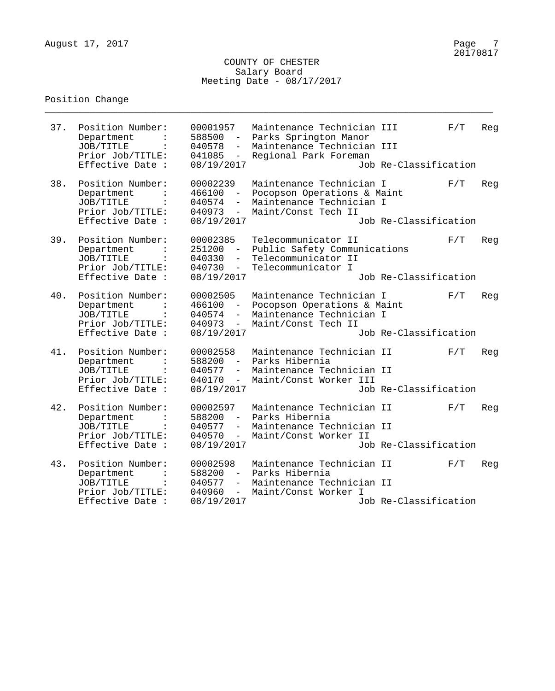\_\_\_\_\_\_\_\_\_\_\_\_\_\_\_\_\_\_\_\_\_\_\_\_\_\_\_\_\_\_\_\_\_\_\_\_\_\_\_\_\_\_\_\_\_\_\_\_\_\_\_\_\_\_\_\_\_\_\_\_\_\_\_\_\_\_\_\_\_\_\_\_\_\_\_\_\_\_\_\_

| 37. | Position Number:<br>Department<br>JOB/TITLE<br>Prior Job/TITLE:<br>Effective Date :                   | 00001957<br>588500<br>$ \,$<br>040578<br>$\overline{\phantom{a}}$<br>041085<br>$ \,$<br>08/19/2017 | Maintenance Technician III<br>Parks Springton Manor<br>Maintenance Technician III<br>Regional Park Foreman | Job Re-Classification | F/T | Reg |
|-----|-------------------------------------------------------------------------------------------------------|----------------------------------------------------------------------------------------------------|------------------------------------------------------------------------------------------------------------|-----------------------|-----|-----|
| 38. | Position Number:<br>Department<br>JOB/TITLE<br>Prior Job/TITLE:<br>Effective Date :                   | 00002239<br>466100<br>040574<br>$-$<br>040973<br>$-$<br>08/19/2017                                 | Maintenance Technician I<br>Pocopson Operations & Maint<br>Maintenance Technician I<br>Maint/Const Tech II | Job Re-Classification | F/T | Reg |
| 39. | Position Number:<br>Department<br>JOB/TITLE<br>$\ddot{\cdot}$<br>Prior Job/TITLE:<br>Effective Date : | 00002385<br>251200<br>$-$<br>040330<br>040730<br>$-$<br>08/19/2017                                 | Telecommunicator II<br>Public Safety Communications<br>Telecommunicator II<br>Telecommunicator I           | Job Re-Classification | F/T | Reg |
| 40. | Position Number:<br>Department<br>JOB/TITLE<br>Prior Job/TITLE:<br>Effective Date :                   | 00002505<br>466100<br>040574<br>$ \,$<br>040973<br>$ \,$<br>08/19/2017                             | Maintenance Technician I<br>Pocopson Operations & Maint<br>Maintenance Technician I<br>Maint/Const Tech II | Job Re-Classification | F/T | Reg |
| 41. | Position Number:<br>Department<br>JOB/TITLE<br>Prior Job/TITLE:<br>Effective Date :                   | 00002558<br>588200<br>$ \,$<br>040577<br>$ \,$<br>040170<br>$ \,$<br>08/19/2017                    | Maintenance Technician II<br>Parks Hibernia<br>Maintenance Technician II<br>Maint/Const Worker III         | Job Re-Classification | F/T | Reg |
| 42. | Position Number:<br>Department<br>JOB/TITLE<br>Prior Job/TITLE:<br>Effective Date :                   | 00002597<br>588200<br>040577<br>$\overline{\phantom{a}}$<br>040570<br>$ \,$<br>08/19/2017          | Maintenance Technician II<br>Parks Hibernia<br>Maintenance Technician II<br>Maint/Const Worker II          | Job Re-Classification | F/T | Reg |
| 43. | Position Number:<br>Department<br>JOB/TITLE<br>$\ddot{\cdot}$<br>Prior Job/TITLE:<br>Effective Date : | 00002598<br>588200<br>040577<br>$\overline{\phantom{m}}$<br>040960<br>$ \,$<br>08/19/2017          | Maintenance Technician II<br>Parks Hibernia<br>Maintenance Technician II<br>Maint/Const Worker I           | Job Re-Classification | F/T | Reg |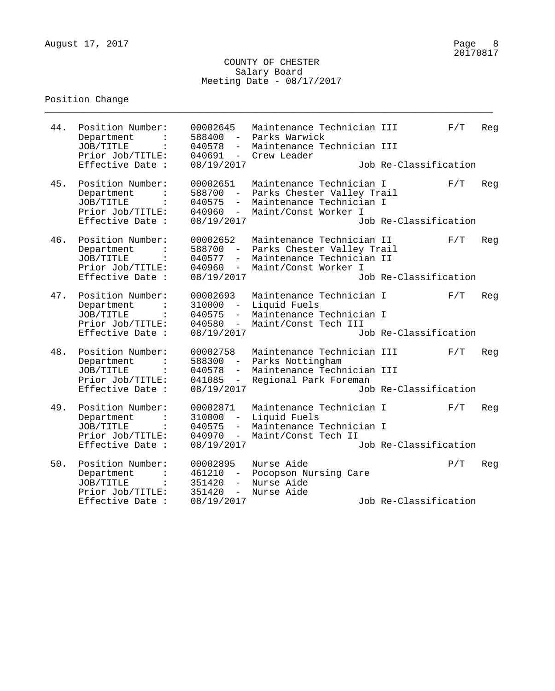\_\_\_\_\_\_\_\_\_\_\_\_\_\_\_\_\_\_\_\_\_\_\_\_\_\_\_\_\_\_\_\_\_\_\_\_\_\_\_\_\_\_\_\_\_\_\_\_\_\_\_\_\_\_\_\_\_\_\_\_\_\_\_\_\_\_\_\_\_\_\_\_\_\_\_\_\_\_\_\_

| 44. | Position Number:<br>Department<br>JOB/TITLE<br>Prior Job/TITLE:<br>Effective Date :                     | 00002645<br>588400<br>$-$<br>040578<br>$\overline{\phantom{a}}$<br>040691<br>$ \,$<br>08/19/2017 | Maintenance Technician III<br>Parks Warwick<br>Maintenance Technician III<br>Crew Leader                     | Job Re-Classification | F/T | Reg |
|-----|---------------------------------------------------------------------------------------------------------|--------------------------------------------------------------------------------------------------|--------------------------------------------------------------------------------------------------------------|-----------------------|-----|-----|
| 45. | Position Number:<br>Department<br>JOB/TITLE<br>Prior Job/TITLE:<br>Effective Date :                     | 00002651<br>588700<br>040575<br>$ \,$<br>040960<br>$\overline{\phantom{a}}$<br>08/19/2017        | Maintenance Technician I<br>Parks Chester Valley Trail<br>Maintenance Technician I<br>Maint/Const Worker I   | Job Re-Classification | F/T | Reg |
| 46. | Position Number:<br>Department<br>JOB/TITLE<br>$\ddot{\cdot}$<br>Prior Job/TITLE:<br>Effective Date :   | 00002652<br>588700<br>$ \,$<br>040577<br>$\overline{\phantom{0}}$<br>040960<br>$-$<br>08/19/2017 | Maintenance Technician II<br>Parks Chester Valley Trail<br>Maintenance Technician II<br>Maint/Const Worker I | Job Re-Classification | F/T | Reg |
| 47. | Position Number:<br>Department<br>JOB/TITLE<br>Prior Job/TITLE:<br>Effective Date :                     | 00002693<br>310000<br>$ \,$<br>040575<br>$ \,$<br>040580<br>$\sim$<br>08/19/2017                 | Maintenance Technician I<br>Liquid Fuels<br>Maintenance Technician I<br>Maint/Const Tech III                 | Job Re-Classification | F/T | Reg |
| 48. | Position Number:<br>Department<br>JOB/TITLE<br>Prior Job/TITLE:<br>Effective Date :                     | 00002758<br>588300<br>$ \,$<br>040578<br>041085<br>$ \,$<br>08/19/2017                           | Maintenance Technician III<br>Parks Nottingham<br>Maintenance Technician III<br>Regional Park Foreman        | Job Re-Classification | F/T | Reg |
| 49. | Position Number:<br>Department<br>JOB/TITLE<br>Prior Job/TITLE:<br>Effective Date :                     | 00002871<br>310000<br>040575<br>$\overline{\phantom{0}}$<br>040970<br>$ \,$<br>08/19/2017        | Maintenance Technician I<br>Liquid Fuels<br>Maintenance Technician I<br>Maint/Const Tech II                  | Job Re-Classification | F/T | Reg |
| 50. | Position Number:<br>Department<br>JOB/TITLE<br>$\sim$ 100 $\pm$<br>Prior Job/TITLE:<br>Effective Date : | 00002895<br>461210<br>351420<br>$-$ .<br>351420<br>$ \,$<br>08/19/2017                           | Nurse Aide<br>Pocopson Nursing Care<br>Nurse Aide<br>Nurse Aide                                              | Job Re-Classification | P/T | Reg |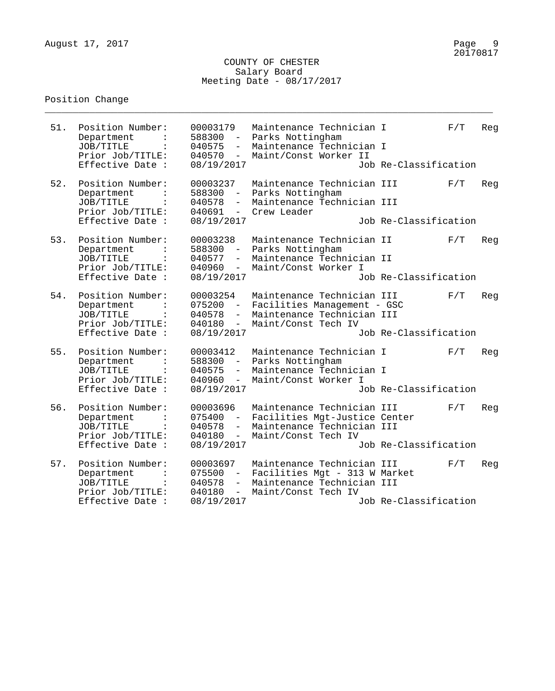\_\_\_\_\_\_\_\_\_\_\_\_\_\_\_\_\_\_\_\_\_\_\_\_\_\_\_\_\_\_\_\_\_\_\_\_\_\_\_\_\_\_\_\_\_\_\_\_\_\_\_\_\_\_\_\_\_\_\_\_\_\_\_\_\_\_\_\_\_\_\_\_\_\_\_\_\_\_\_\_

| 51. | Position Number:<br>Department<br>JOB/TITLE<br>Prior Job/TITLE:<br>Effective Date :                   | 00003179<br>588300<br>$\sim$<br>040575<br>$\overline{\phantom{0}}$<br>040570<br>$ \,$<br>08/19/2017 | Maintenance Technician I<br>Parks Nottingham<br>Maintenance Technician I<br>Maint/Const Worker II                | Job Re-Classification | F/T | Reg |
|-----|-------------------------------------------------------------------------------------------------------|-----------------------------------------------------------------------------------------------------|------------------------------------------------------------------------------------------------------------------|-----------------------|-----|-----|
| 52. | Position Number:<br>Department<br>JOB/TITLE<br>Prior Job/TITLE:<br>Effective Date :                   | 00003237<br>588300<br>040578<br>$-$<br>040691<br>$ \,$<br>08/19/2017                                | Maintenance Technician III<br>Parks Nottingham<br>Maintenance Technician III<br>Crew Leader                      | Job Re-Classification | F/T | Reg |
| 53. | Position Number:<br>Department<br>JOB/TITLE<br>$\ddot{\cdot}$<br>Prior Job/TITLE:<br>Effective Date : | 00003238<br>588300<br>$ \,$<br>040577<br>040960<br>$-$<br>08/19/2017                                | Maintenance Technician II<br>Parks Nottingham<br>Maintenance Technician II<br>Maint/Const Worker I               | Job Re-Classification | F/T | Reg |
| 54. | Position Number:<br>Department<br>JOB/TITLE<br>Prior Job/TITLE:<br>Effective Date :                   | 00003254<br>075200<br>$ \,$<br>040578<br>$ \,$<br>040180<br>$ \,$<br>08/19/2017                     | Maintenance Technician III<br>Facilities Management - GSC<br>Maintenance Technician III<br>Maint/Const Tech IV   | Job Re-Classification | F/T | Reg |
| 55. | Position Number:<br>Department<br>JOB/TITLE<br>Prior Job/TITLE:<br>Effective Date :                   | 00003412<br>588300<br>$\sim$ $^{-1}$<br>040575<br>$-$<br>040960<br>$ \,$<br>08/19/2017              | Maintenance Technician I<br>Parks Nottingham<br>Maintenance Technician I<br>Maint/Const Worker I                 | Job Re-Classification | F/T | Reg |
| 56. | Position Number:<br>Department<br>JOB/TITLE<br>Prior Job/TITLE:<br>Effective Date :                   | 00003696<br>075400<br>040578<br>$\overline{\phantom{0}}$<br>040180<br>$\sim$<br>08/19/2017          | Maintenance Technician III<br>Facilities Mgt-Justice Center<br>Maintenance Technician III<br>Maint/Const Tech IV | Job Re-Classification | F/T | Reg |
| 57. | Position Number:<br>Department<br>JOB/TITLE<br>$\ddot{\cdot}$<br>Prior Job/TITLE:<br>Effective Date : | 00003697<br>075500<br>040578<br>$\overline{\phantom{a}}$<br>040180<br>$-$<br>08/19/2017             | Maintenance Technician III<br>Facilities Mgt - 313 W Market<br>Maintenance Technician III<br>Maint/Const Tech IV | Job Re-Classification | F/T | Reg |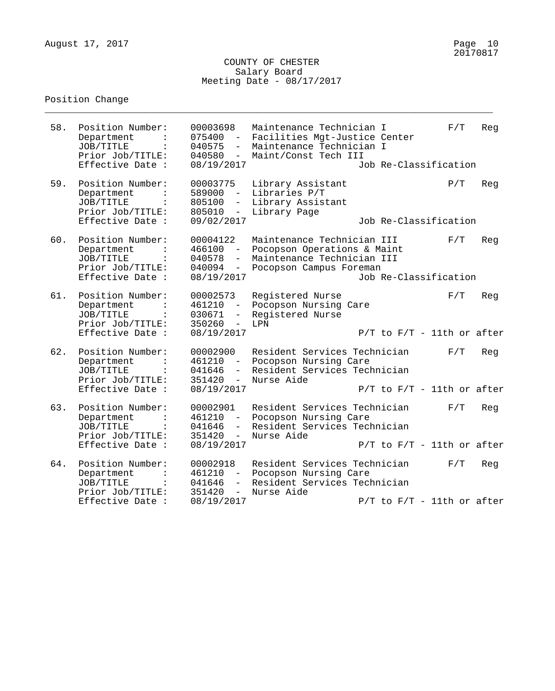\_\_\_\_\_\_\_\_\_\_\_\_\_\_\_\_\_\_\_\_\_\_\_\_\_\_\_\_\_\_\_\_\_\_\_\_\_\_\_\_\_\_\_\_\_\_\_\_\_\_\_\_\_\_\_\_\_\_\_\_\_\_\_\_\_\_\_\_\_\_\_\_\_\_\_\_\_\_\_\_

| 58. | Position Number:<br>Department<br>JOB/TITLE<br>Prior Job/TITLE:<br>Effective Date :                   | 00003698<br>075400<br>040575<br>040580<br>$\overline{\phantom{0}}$<br>08/19/2017 | Maintenance Technician I<br>Facilities Mgt-Justice Center<br>Maintenance Technician I<br>Maint/Const Tech III      | Job Re-Classification           | F/T | Reg |
|-----|-------------------------------------------------------------------------------------------------------|----------------------------------------------------------------------------------|--------------------------------------------------------------------------------------------------------------------|---------------------------------|-----|-----|
| 59. | Position Number:<br>Department<br>JOB/TITLE<br>Prior Job/TITLE:<br>Effective Date :                   | 00003775<br>589000<br>$ \,$<br>805100<br>$-$<br>805010<br>$ \,$<br>09/02/2017    | Library Assistant<br>Libraries P/T<br>Library Assistant<br>Library Page                                            | Job Re-Classification           | P/T | Reg |
| 60. | Position Number:<br>Department<br>JOB/TITLE<br>$\ddot{\cdot}$<br>Prior Job/TITLE:<br>Effective Date : | 00004122<br>466100<br>040578<br>040094<br>$ \,$<br>08/19/2017                    | Maintenance Technician III<br>Pocopson Operations & Maint<br>Maintenance Technician III<br>Pocopson Campus Foreman | Job Re-Classification           | F/T | Reg |
| 61. | Position Number:<br>Department<br>JOB/TITLE<br>Prior Job/TITLE:<br>Effective Date :                   | 00002573<br>461210<br>030671<br>$-$<br>350260<br>$ \,$<br>08/19/2017             | Registered Nurse<br>Pocopson Nursing Care<br>Registered Nurse<br>LPN                                               | $P/T$ to $F/T - 11$ th or after | F/T | Reg |
| 62. | Position Number:<br>Department<br>JOB/TITLE<br>Prior Job/TITLE:<br>Effective Date :                   | 00002900<br>461210<br>$\sim$ $-$<br>041646<br>$-$<br>351420<br>$-$<br>08/19/2017 | Resident Services Technician<br>Pocopson Nursing Care<br>Resident Services Technician<br>Nurse Aide                | $P/T$ to $F/T$ - 11th or after  | F/T | Reg |
| 63. | Position Number:<br>Department<br>JOB/TITLE<br>Prior Job/TITLE:                                       | 00002901<br>461210<br>$\overline{\phantom{a}}$<br>041646<br>351420<br>$ \,$      | Resident Services Technician<br>Pocopson Nursing Care<br>Resident Services Technician<br>Nurse Aide                |                                 | F/T | Reg |
|     | Effective Date :                                                                                      | 08/19/2017                                                                       |                                                                                                                    | $P/T$ to $F/T - 11$ th or after |     |     |
| 64. | Position Number:<br>Department<br>JOB/TITLE<br>$\ddot{\cdot}$<br>Prior Job/TITLE:                     | 00002918<br>461210<br>041646<br>$-$<br>351420<br>$-$                             | Resident Services Technician<br>Pocopson Nursing Care<br>Resident Services Technician<br>Nurse Aide                |                                 | F/T | Reg |
|     | Effective Date :                                                                                      | 08/19/2017                                                                       |                                                                                                                    | $P/T$ to $F/T$ - 11th or after  |     |     |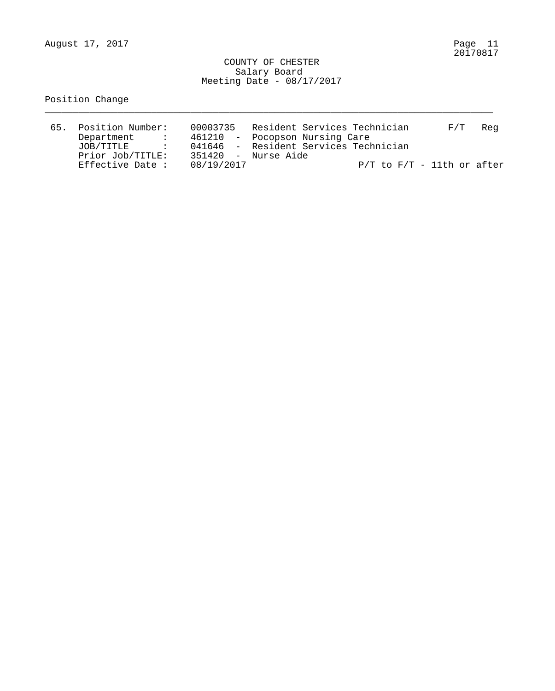\_\_\_\_\_\_\_\_\_\_\_\_\_\_\_\_\_\_\_\_\_\_\_\_\_\_\_\_\_\_\_\_\_\_\_\_\_\_\_\_\_\_\_\_\_\_\_\_\_\_\_\_\_\_\_\_\_\_\_\_\_\_\_\_\_\_\_\_\_\_\_\_\_\_\_\_\_\_\_\_

| 65. Position Number: | 00003735                              | Resident Services Technician |  |                                |  | F/T | Rea |
|----------------------|---------------------------------------|------------------------------|--|--------------------------------|--|-----|-----|
| Department           | 461210 - Pocopson Nursing Care        |                              |  |                                |  |     |     |
| JOB/TITLE            | 041646 - Resident Services Technician |                              |  |                                |  |     |     |
| Prior Job/TITLE:     | 351420 - Nurse Aide                   |                              |  |                                |  |     |     |
| Effective Date :     | 08/19/2017                            |                              |  | $P/T$ to $F/T$ - 11th or after |  |     |     |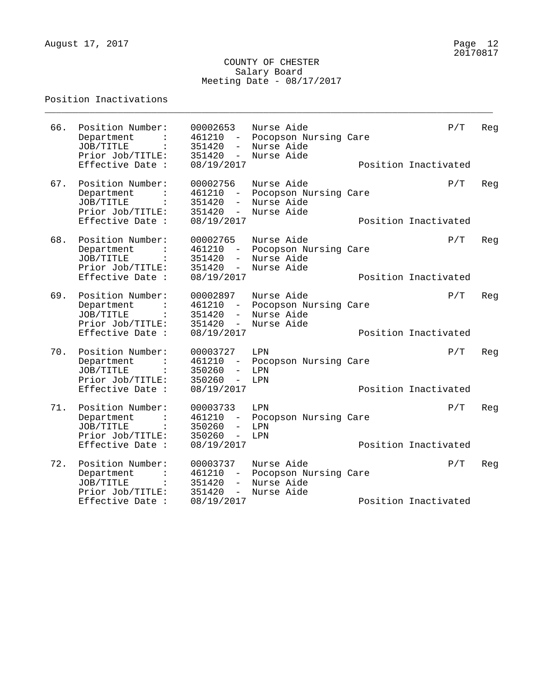\_\_\_\_\_\_\_\_\_\_\_\_\_\_\_\_\_\_\_\_\_\_\_\_\_\_\_\_\_\_\_\_\_\_\_\_\_\_\_\_\_\_\_\_\_\_\_\_\_\_\_\_\_\_\_\_\_\_\_\_\_\_\_\_\_\_\_\_\_\_\_\_\_\_\_\_\_\_\_\_

### Position Inactivations

| 66. | Position Number:<br>Department<br>JOB/TITLE<br>Prior Job/TITLE:<br>Effective Date :                   | 00002653<br>461210<br>351420<br>$\qquad \qquad -$<br>351420<br>$ \,$<br>08/19/2017               | Nurse Aide<br>Pocopson Nursing Care<br>Nurse Aide<br>Nurse Aide | P/T<br>Position Inactivated | Reg |
|-----|-------------------------------------------------------------------------------------------------------|--------------------------------------------------------------------------------------------------|-----------------------------------------------------------------|-----------------------------|-----|
| 67. | Position Number:<br>Department<br>JOB/TITLE<br>Prior Job/TITLE:<br>Effective Date :                   | 00002756<br>461210<br>351420<br>$ \,$<br>351420<br>$-$<br>08/19/2017                             | Nurse Aide<br>Pocopson Nursing Care<br>Nurse Aide<br>Nurse Aide | P/T<br>Position Inactivated | Reg |
| 68. | Position Number:<br>Department<br>JOB/TITLE<br>$\ddot{\cdot}$<br>Prior Job/TITLE:<br>Effective Date : | 00002765<br>461210<br>351420<br>$-$<br>351420<br>$-$<br>08/19/2017                               | Nurse Aide<br>Pocopson Nursing Care<br>Nurse Aide<br>Nurse Aide | P/T<br>Position Inactivated | Reg |
| 69. | Position Number:<br>Department<br>JOB/TITLE<br>Prior Job/TITLE:<br>Effective Date :                   | 00002897<br>461210<br>351420<br>$ \,$<br>351420<br>$ \,$<br>08/19/2017                           | Nurse Aide<br>Pocopson Nursing Care<br>Nurse Aide<br>Nurse Aide | P/T<br>Position Inactivated | Reg |
| 70. | Position Number:<br>Department<br>JOB/TITLE<br>Prior Job/TITLE:<br>Effective Date :                   | 00003727<br>461210<br>$ \,$<br>350260<br>$-$<br>350260<br>$\overline{\phantom{m}}$<br>08/19/2017 | LPN<br>Pocopson Nursing Care<br>LPN<br>LPN                      | P/T<br>Position Inactivated | Reg |
| 71. | Position Number:<br>Department<br>JOB/TITLE<br>Prior Job/TITLE:<br>Effective Date :                   | 00003733<br>461210<br>350260<br>$\qquad \qquad -$<br>350260<br>$\overline{a}$<br>08/19/2017      | LPN<br>Pocopson Nursing Care<br>LPN<br>LPN                      | P/T<br>Position Inactivated | Reg |
| 72. | Position Number:<br>Department<br>JOB/TITLE<br>$\ddot{\cdot}$<br>Prior Job/TITLE:                     | 00003737<br>461210<br>351420<br>$ \,$<br>351420<br>$-$                                           | Nurse Aide<br>Pocopson Nursing Care<br>Nurse Aide<br>Nurse Aide | P/T                         | Reg |
|     | Effective Date :                                                                                      | 08/19/2017                                                                                       |                                                                 | Position Inactivated        |     |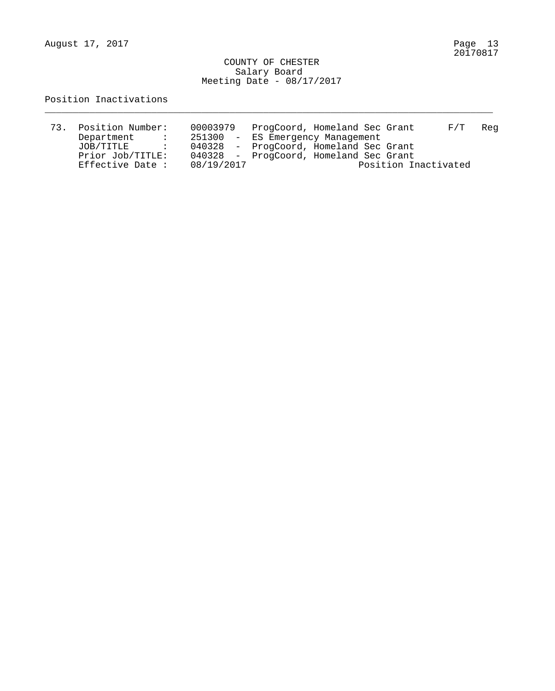August 17, 2017

#### COUNTY OF CHESTER Salary Board Meeting Date - 08/17/2017

\_\_\_\_\_\_\_\_\_\_\_\_\_\_\_\_\_\_\_\_\_\_\_\_\_\_\_\_\_\_\_\_\_\_\_\_\_\_\_\_\_\_\_\_\_\_\_\_\_\_\_\_\_\_\_\_\_\_\_\_\_\_\_\_\_\_\_\_\_\_\_\_\_\_\_\_\_\_\_\_

### Position Inactivations

| 73. | Position Number: | 00003979   | ProgCoord, Homeland Sec Grant<br>F/T<br>Reg |  |
|-----|------------------|------------|---------------------------------------------|--|
|     | Department       |            | 251300 - ES Emergency Management            |  |
|     | JOB/TITLE        |            | 040328 - ProgCoord, Homeland Sec Grant      |  |
|     | Prior Job/TITLE: |            | 040328 - ProgCoord, Homeland Sec Grant      |  |
|     | Effective Date : | 08/19/2017 | Position Inactivated                        |  |